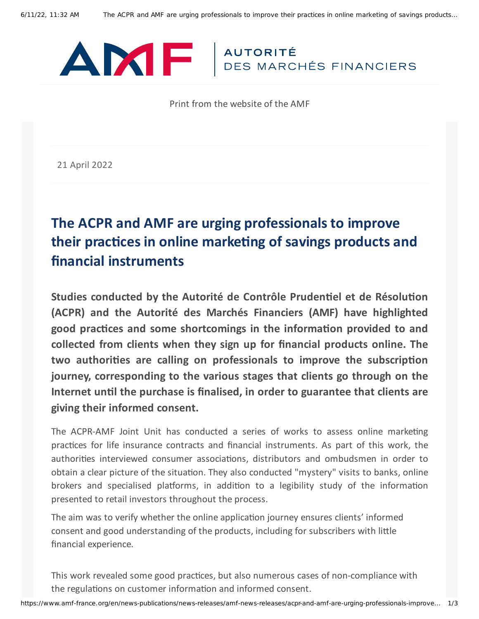

Print from the website of the AMF

21 April 2022

# **The ACPR and AMF are urging professionals to improve their practices in online marketing of savings products and financial instruments**

**Studies conducted by the Autorité de Contrôle Prudentiel et de Résolution (ACPR) and the Autorité des Marchés Financiers (AMF) have highlighted good practices and some shortcomings in the information provided to and collected from clients when they sign up for financial products online. The two authorities are calling on professionals to improve the subscription journey, corresponding to the various stages that clients go through on the Internet until the purchase is finalised, in order to guarantee that clients are giving their informed consent.**

The ACPR-AMF Joint Unit has conducted a series of works to assess online marketing practices for life insurance contracts and financial instruments. As part of this work, the authorities interviewed consumer associations, distributors and ombudsmen in order to obtain a clear picture of the situation. They also conducted "mystery" visits to banks, online brokers and specialised platforms, in addition to a legibility study of the information presented to retail investors throughout the process.

The aim was to verify whether the online application journey ensures clients' informed consent and good understanding of the products, including for subscribers with little financial experience.

This work revealed some good practices, but also numerous cases of non-compliance with the regulations on customer information and informed consent.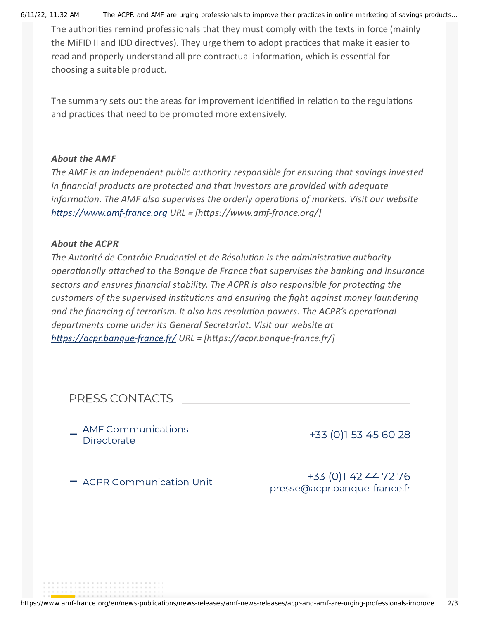6/11/22, 11:32 AM The ACPR and AMF are urging professionals to improve their practices in online marketing of savings products…

The authorities remind professionals that they must comply with the texts in force (mainly the MiFID II and IDD directives). They urge them to adopt practices that make it easier to read and properly understand all pre-contractual information, which is essential for choosing a suitable product.

The summary sets out the areas for improvement identified in relation to the regulations and practices that need to be promoted more extensively.

### *About the AMF*

*The AMF is an independent public authority responsible for ensuring that savings invested in financial products are protected and that investors are provided with adequate information. The AMF also supervises the orderly operations of markets. Visit our website [https://www.amf-france.org](https://www.amf-france.org/) URL = [https://www.amf-france.org/]*

### *About the ACPR*

*The Autorité de Contrôle Prudentiel et de Résolution is the administrative authority operationally attached to the Banque de France that supervises the banking and insurance sectors and ensures financial stability. The ACPR is also responsible for protecting the customers of the supervised institutions and ensuring the fight against money laundering and the financing of terrorism. It also has resolution powers. The ACPR's operational departments come under its General Secretariat. Visit our website at <https://acpr.banque-france.fr/> URL = [https://acpr.banque-france.fr/]*

## PRESS CONTACTS

AMF Communications<br>Directorate

+33 [\(0\)1](tel:+331 53 45 60 28) 53 45 60 28

- ACPR Communication Unit

+33 [\(0\)1](tel:+331 42 44 72 76) 42 44 72 76 [presse@acpr.banque-france.fr](mailto:presse@acpr.banque-france.fr)